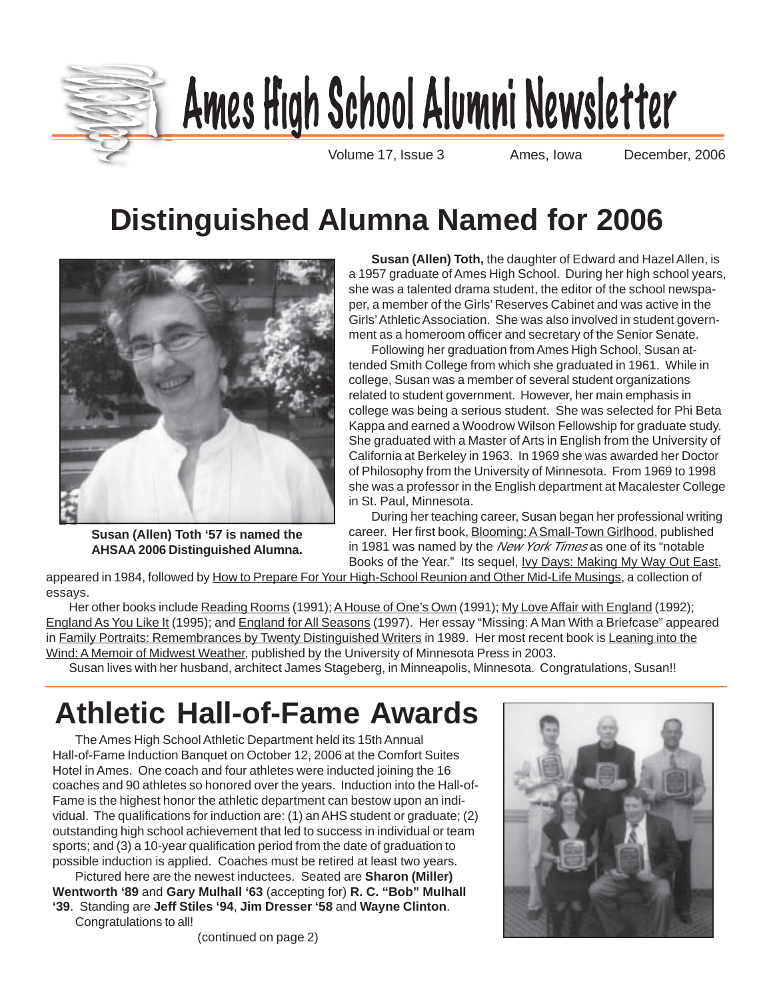

# Ames High School Alumni Newsletter

Volume 17, Issue 3 Ames, Iowa December, 2006

# **Distinguished Alumna Named for 2006**



**Susan (Allen) Toth '57 is named the AHSAA 2006 Distinguished Alumna.**

**Susan (Allen) Toth,** the daughter of Edward and Hazel Allen, is a 1957 graduate of Ames High School. During her high school years, she was a talented drama student, the editor of the school newspaper, a member of the Girls' Reserves Cabinet and was active in the Girls' Athletic Association. She was also involved in student government as a homeroom officer and secretary of the Senior Senate.

Following her graduation from Ames High School, Susan attended Smith College from which she graduated in 1961. While in college, Susan was a member of several student organizations related to student government. However, her main emphasis in college was being a serious student. She was selected for Phi Beta Kappa and earned a Woodrow Wilson Fellowship for graduate study. She graduated with a Master of Arts in English from the University of California at Berkeley in 1963. In 1969 she was awarded her Doctor of Philosophy from the University of Minnesota. From 1969 to 1998 she was a professor in the English department at Macalester College in St. Paul, Minnesota.

During her teaching career, Susan began her professional writing career. Her first book, Blooming: ASmall-Town Girlhood, published in 1981 was named by the New York Times as one of its "notable Books of the Year." Its sequel, Ivy Days: Making My Way Out East,

appeared in 1984, followed by How to Prepare For Your High-School Reunion and Other Mid-Life Musings, a collection of essays.

Her other books include Reading Rooms (1991); A House of One's Own (1991); My Love Affair with England (1992); England As You Like It (1995); and England for All Seasons (1997). Her essay "Missing: A Man With a Briefcase" appeared in Family Portraits: Remembrances by Twenty Distinguished Writers in 1989. Her most recent book is Leaning into the Wind: A Memoir of Midwest Weather, published by the University of Minnesota Press in 2003.

Susan lives with her husband, architect James Stageberg, in Minneapolis, Minnesota. Congratulations, Susan!!

# **Athletic Hall-of-Fame Awards**

The Ames High School Athletic Department held its 15th Annual Hall-of-Fame Induction Banquet on October 12, 2006 at the Comfort Suites Hotel in Ames. One coach and four athletes were inducted joining the 16 coaches and 90 athletes so honored over the years. Induction into the Hall-of-Fame is the highest honor the athletic department can bestow upon an individual. The qualifications for induction are: (1) an AHS student or graduate; (2) outstanding high school achievement that led to success in individual or team sports; and (3) a 10-year qualification period from the date of graduation to possible induction is applied. Coaches must be retired at least two years.

Pictured here are the newest inductees. Seated are **Sharon (Miller) Wentworth '89** and **Gary Mulhall '63** (accepting for) **R. C. "Bob" Mulhall '39**. Standing are **Jeff Stiles '94**, **Jim Dresser '58** and **Wayne Clinton**. Congratulations to all!



(continued on page 2)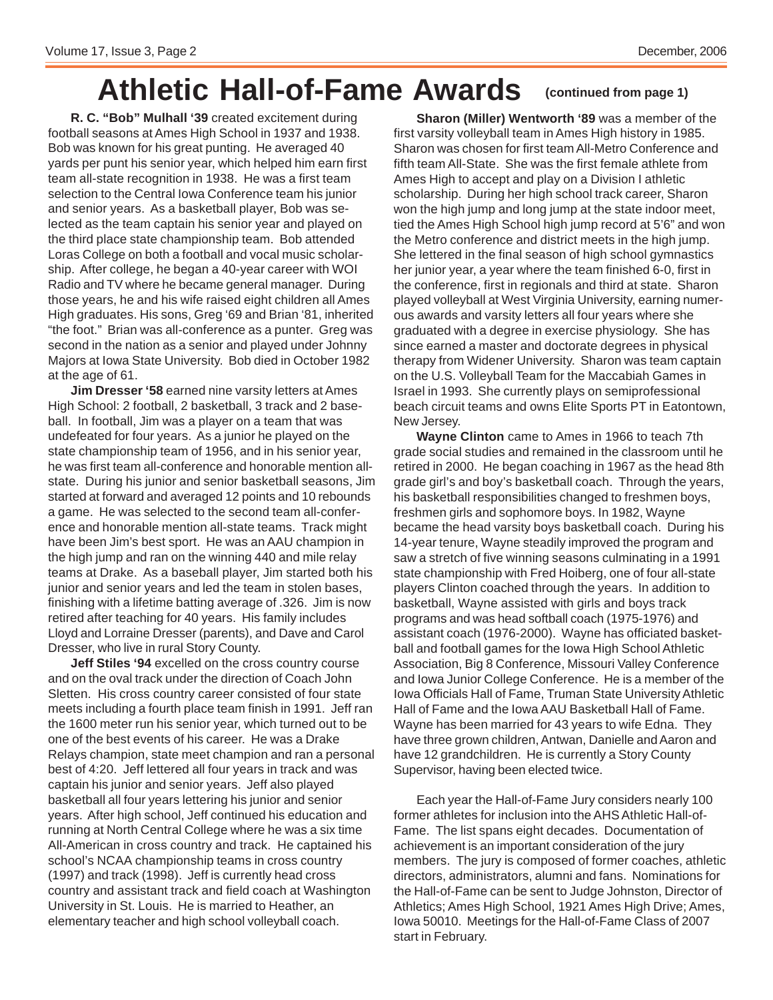# **Athletic Hall-of-Fame Awards (continued from page 1)**

**R. C. "Bob" Mulhall '39** created excitement during football seasons at Ames High School in 1937 and 1938. Bob was known for his great punting. He averaged 40 yards per punt his senior year, which helped him earn first team all-state recognition in 1938. He was a first team selection to the Central Iowa Conference team his junior and senior years. As a basketball player, Bob was selected as the team captain his senior year and played on the third place state championship team. Bob attended Loras College on both a football and vocal music scholarship. After college, he began a 40-year career with WOI Radio and TV where he became general manager. During those years, he and his wife raised eight children all Ames High graduates. His sons, Greg '69 and Brian '81, inherited "the foot." Brian was all-conference as a punter. Greg was second in the nation as a senior and played under Johnny Majors at Iowa State University. Bob died in October 1982 at the age of 61.

**Jim Dresser '58** earned nine varsity letters at Ames High School: 2 football, 2 basketball, 3 track and 2 baseball. In football, Jim was a player on a team that was undefeated for four years. As a junior he played on the state championship team of 1956, and in his senior year, he was first team all-conference and honorable mention allstate. During his junior and senior basketball seasons, Jim started at forward and averaged 12 points and 10 rebounds a game. He was selected to the second team all-conference and honorable mention all-state teams. Track might have been Jim's best sport. He was an AAU champion in the high jump and ran on the winning 440 and mile relay teams at Drake. As a baseball player, Jim started both his junior and senior years and led the team in stolen bases, finishing with a lifetime batting average of .326. Jim is now retired after teaching for 40 years. His family includes Lloyd and Lorraine Dresser (parents), and Dave and Carol Dresser, who live in rural Story County.

**Jeff Stiles '94** excelled on the cross country course and on the oval track under the direction of Coach John Sletten. His cross country career consisted of four state meets including a fourth place team finish in 1991. Jeff ran the 1600 meter run his senior year, which turned out to be one of the best events of his career. He was a Drake Relays champion, state meet champion and ran a personal best of 4:20. Jeff lettered all four years in track and was captain his junior and senior years. Jeff also played basketball all four years lettering his junior and senior years. After high school, Jeff continued his education and running at North Central College where he was a six time All-American in cross country and track. He captained his school's NCAA championship teams in cross country (1997) and track (1998). Jeff is currently head cross country and assistant track and field coach at Washington University in St. Louis. He is married to Heather, an elementary teacher and high school volleyball coach.

**Sharon (Miller) Wentworth '89** was a member of the first varsity volleyball team in Ames High history in 1985. Sharon was chosen for first team All-Metro Conference and fifth team All-State. She was the first female athlete from Ames High to accept and play on a Division I athletic scholarship. During her high school track career, Sharon won the high jump and long jump at the state indoor meet, tied the Ames High School high jump record at 5'6" and won the Metro conference and district meets in the high jump. She lettered in the final season of high school gymnastics her junior year, a year where the team finished 6-0, first in the conference, first in regionals and third at state. Sharon played volleyball at West Virginia University, earning numerous awards and varsity letters all four years where she graduated with a degree in exercise physiology. She has since earned a master and doctorate degrees in physical therapy from Widener University. Sharon was team captain on the U.S. Volleyball Team for the Maccabiah Games in Israel in 1993. She currently plays on semiprofessional beach circuit teams and owns Elite Sports PT in Eatontown, New Jersey.

**Wayne Clinton** came to Ames in 1966 to teach 7th grade social studies and remained in the classroom until he retired in 2000. He began coaching in 1967 as the head 8th grade girl's and boy's basketball coach. Through the years, his basketball responsibilities changed to freshmen boys, freshmen girls and sophomore boys. In 1982, Wayne became the head varsity boys basketball coach. During his 14-year tenure, Wayne steadily improved the program and saw a stretch of five winning seasons culminating in a 1991 state championship with Fred Hoiberg, one of four all-state players Clinton coached through the years. In addition to basketball, Wayne assisted with girls and boys track programs and was head softball coach (1975-1976) and assistant coach (1976-2000). Wayne has officiated basketball and football games for the Iowa High School Athletic Association, Big 8 Conference, Missouri Valley Conference and Iowa Junior College Conference. He is a member of the Iowa Officials Hall of Fame, Truman State University Athletic Hall of Fame and the Iowa AAU Basketball Hall of Fame. Wayne has been married for 43 years to wife Edna. They have three grown children, Antwan, Danielle and Aaron and have 12 grandchildren. He is currently a Story County Supervisor, having been elected twice.

Each year the Hall-of-Fame Jury considers nearly 100 former athletes for inclusion into the AHS Athletic Hall-of-Fame. The list spans eight decades. Documentation of achievement is an important consideration of the jury members. The jury is composed of former coaches, athletic directors, administrators, alumni and fans. Nominations for the Hall-of-Fame can be sent to Judge Johnston, Director of Athletics; Ames High School, 1921 Ames High Drive; Ames, Iowa 50010. Meetings for the Hall-of-Fame Class of 2007 start in February.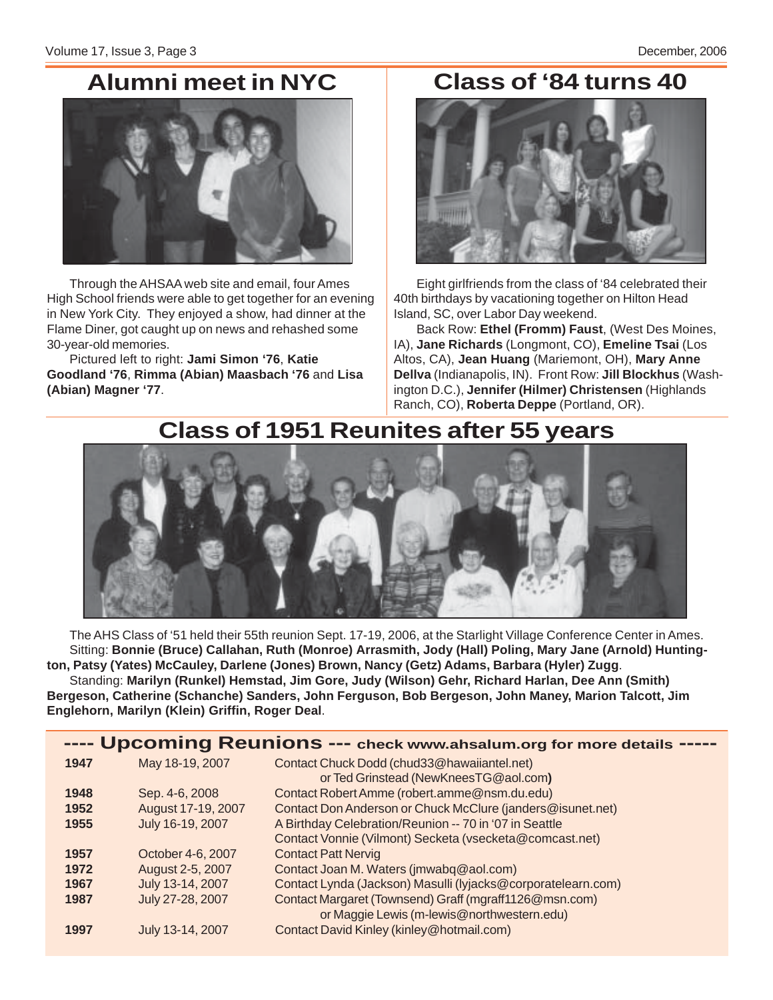### **Alumni meet in NYC Class of '84 turns 40**



Through the AHSAA web site and email, four Ames High School friends were able to get together for an evening in New York City. They enjoyed a show, had dinner at the Flame Diner, got caught up on news and rehashed some 30-year-old memories.

Pictured left to right: **Jami Simon '76**, **Katie Goodland '76**, **Rimma (Abian) Maasbach '76** and **Lisa (Abian) Magner '77**.



Eight girlfriends from the class of '84 celebrated their 40th birthdays by vacationing together on Hilton Head Island, SC, over Labor Day weekend.

Back Row: **Ethel (Fromm) Faust**, (West Des Moines, IA), **Jane Richards** (Longmont, CO), **Emeline Tsai** (Los Altos, CA), **Jean Huang** (Mariemont, OH), **Mary Anne Dellva** (Indianapolis, IN). Front Row: **Jill Blockhus** (Washington D.C.), **Jennifer (Hilmer) Christensen** (Highlands Ranch, CO), **Roberta Deppe** (Portland, OR).

### **Class of 1951 Reunites after 55 years**



The AHS Class of '51 held their 55th reunion Sept. 17-19, 2006, at the Starlight Village Conference Center in Ames. Sitting: **Bonnie (Bruce) Callahan, Ruth (Monroe) Arrasmith, Jody (Hall) Poling, Mary Jane (Arnold) Huntington, Patsy (Yates) McCauley, Darlene (Jones) Brown, Nancy (Getz) Adams, Barbara (Hyler) Zugg**. Standing: **Marilyn (Runkel) Hemstad, Jim Gore, Judy (Wilson) Gehr, Richard Harlan, Dee Ann (Smith) Bergeson, Catherine (Schanche) Sanders, John Ferguson, Bob Bergeson, John Maney, Marion Talcott, Jim Englehorn, Marilyn (Klein) Griffin, Roger Deal**.

| ---- Upcoming Reunions --- check www.ahsalum.org for more details ----- |                    |                                                                                      |  |  |  |
|-------------------------------------------------------------------------|--------------------|--------------------------------------------------------------------------------------|--|--|--|
| 1947                                                                    | May 18-19, 2007    | Contact Chuck Dodd (chud33@hawaiiantel.net)<br>or Ted Grinstead (NewKneesTG@aol.com) |  |  |  |
| 1948                                                                    | Sep. 4-6, 2008     | Contact Robert Amme (robert.amme@nsm.du.edu)                                         |  |  |  |
| 1952                                                                    | August 17-19, 2007 | Contact Don Anderson or Chuck McClure (janders@isunet.net)                           |  |  |  |
| 1955                                                                    | July 16-19, 2007   | A Birthday Celebration/Reunion -- 70 in '07 in Seattle                               |  |  |  |
|                                                                         |                    | Contact Vonnie (Vilmont) Secketa (vsecketa@comcast.net)                              |  |  |  |
| 1957                                                                    | October 4-6, 2007  | <b>Contact Patt Nervig</b>                                                           |  |  |  |
| 1972                                                                    | August 2-5, 2007   | Contact Joan M. Waters (jmwabq@aol.com)                                              |  |  |  |
| 1967                                                                    | July 13-14, 2007   | Contact Lynda (Jackson) Masulli (lyjacks@corporatelearn.com)                         |  |  |  |
| 1987                                                                    | July 27-28, 2007   | Contact Margaret (Townsend) Graff (mgraff1126@msn.com)                               |  |  |  |
|                                                                         |                    | or Maggie Lewis (m-lewis@northwestern.edu)                                           |  |  |  |
| 1997                                                                    | July 13-14, 2007   | Contact David Kinley (kinley@hotmail.com)                                            |  |  |  |
|                                                                         |                    |                                                                                      |  |  |  |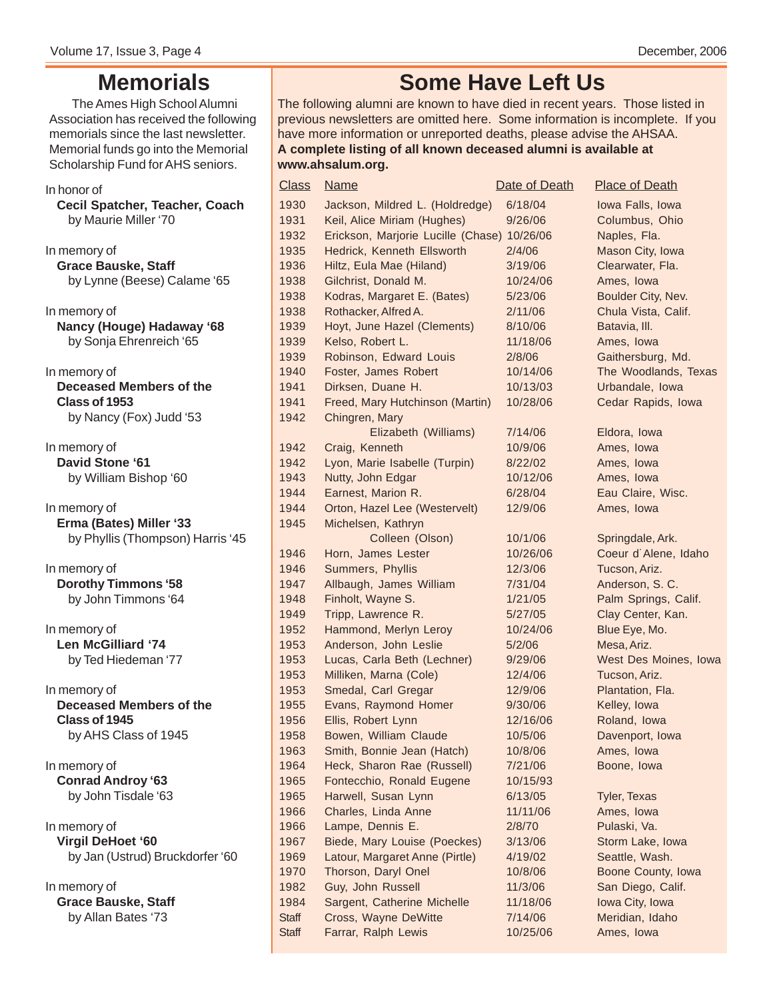### **Memorials**

The Ames High School Alumni Association has received the following memorials since the last newsletter. Memorial funds go into the Memorial Scholarship Fund for AHS seniors.

### In honor of **Cecil Spatcher, Teacher, Coach** by Maurie Miller '70

In memory of **Grace Bauske, Staff** by Lynne (Beese) Calame '65

In memory of **Nancy (Houge) Hadaway '68** by Sonja Ehrenreich '65

In memory of **Deceased Members of the Class of 1953** by Nancy (Fox) Judd '53

In memory of **David Stone '61** by William Bishop '60

In memory of **Erma (Bates) Miller '33** by Phyllis (Thompson) Harris '45

In memory of **Dorothy Timmons '58** by John Timmons '64

In memory of **Len McGilliard '74** by Ted Hiedeman '77

In memory of **Deceased Members of the Class of 1945** by AHS Class of 1945

In memory of **Conrad Androy '63** by John Tisdale '63

In memory of **Virgil DeHoet '60** by Jan (Ustrud) Bruckdorfer '60

In memory of **Grace Bauske, Staff** by Allan Bates '73

### **Some Have Left Us**

The following alumni are known to have died in recent years. Those listed in previous newsletters are omitted here. Some information is incomplete. If you have more information or unreported deaths, please advise the AHSAA. **A complete listing of all known deceased alumni is available at www.ahsalum.org.**

| <b>Class</b> | <b>Name</b>                                 | Date of Death | <b>Place of Death</b> |
|--------------|---------------------------------------------|---------------|-----------------------|
| 1930         | Jackson, Mildred L. (Holdredge)             | 6/18/04       | Iowa Falls, Iowa      |
| 1931         | Keil, Alice Miriam (Hughes)                 | 9/26/06       | Columbus, Ohio        |
| 1932         | Erickson, Marjorie Lucille (Chase) 10/26/06 |               | Naples, Fla.          |
| 1935         | Hedrick, Kenneth Ellsworth                  | 2/4/06        | Mason City, Iowa      |
| 1936         | Hiltz, Eula Mae (Hiland)                    | 3/19/06       | Clearwater, Fla.      |
| 1938         | Gilchrist, Donald M.                        | 10/24/06      | Ames, Iowa            |
| 1938         | Kodras, Margaret E. (Bates)                 | 5/23/06       | Boulder City, Nev.    |
| 1938         | Rothacker, Alfred A.                        | 2/11/06       | Chula Vista, Calif.   |
| 1939         | Hoyt, June Hazel (Clements)                 | 8/10/06       | Batavia, III.         |
| 1939         | Kelso, Robert L.                            | 11/18/06      | Ames, Iowa            |
| 1939         | Robinson, Edward Louis                      | 2/8/06        | Gaithersburg, Md.     |
| 1940         | Foster, James Robert                        | 10/14/06      | The Woodlands, Texas  |
| 1941         | Dirksen, Duane H.                           | 10/13/03      | Urbandale, Iowa       |
| 1941         | Freed, Mary Hutchinson (Martin)             | 10/28/06      | Cedar Rapids, Iowa    |
| 1942         | Chingren, Mary                              |               |                       |
|              | Elizabeth (Williams)                        | 7/14/06       | Eldora, Iowa          |
| 1942         | Craig, Kenneth                              | 10/9/06       | Ames, Iowa            |
| 1942         | Lyon, Marie Isabelle (Turpin)               | 8/22/02       | Ames, Iowa            |
| 1943         | Nutty, John Edgar                           | 10/12/06      | Ames, Iowa            |
| 1944         | Earnest, Marion R.                          | 6/28/04       | Eau Claire, Wisc.     |
| 1944         | Orton, Hazel Lee (Westervelt)               | 12/9/06       | Ames, Iowa            |
| 1945         | Michelsen, Kathryn                          |               |                       |
|              | Colleen (Olson)                             | 10/1/06       | Springdale, Ark.      |
| 1946         | Horn, James Lester                          | 10/26/06      | Coeur d'Alene, Idaho  |
| 1946         | Summers, Phyllis                            | 12/3/06       | Tucson, Ariz.         |
| 1947         | Allbaugh, James William                     | 7/31/04       | Anderson, S.C.        |
| 1948         | Finholt, Wayne S.                           | 1/21/05       | Palm Springs, Calif.  |
| 1949         | Tripp, Lawrence R.                          | 5/27/05       | Clay Center, Kan.     |
| 1952         | Hammond, Merlyn Leroy                       | 10/24/06      | Blue Eye, Mo.         |
| 1953         | Anderson, John Leslie                       | 5/2/06        | Mesa, Ariz.           |
| 1953         | Lucas, Carla Beth (Lechner)                 | 9/29/06       | West Des Moines, Iowa |
| 1953         | Milliken, Marna (Cole)                      | 12/4/06       | Tucson, Ariz.         |
| 1953         | Smedal, Carl Gregar                         | 12/9/06       | Plantation, Fla.      |
| 1955         | Evans, Raymond Homer                        | 9/30/06       | Kelley, Iowa          |
| 1956         | Ellis, Robert Lynn                          | 12/16/06      | Roland, Iowa          |
| 1958         | Bowen, William Claude                       | 10/5/06       | Davenport, Iowa       |
| 1963         | Smith, Bonnie Jean (Hatch)                  | 10/8/06       | Ames, Iowa            |
| 1964         | Heck, Sharon Rae (Russell)                  | 7/21/06       | Boone, lowa           |
| 1965         | Fontecchio, Ronald Eugene                   | 10/15/93      |                       |
| 1965         | Harwell, Susan Lynn                         | 6/13/05       | <b>Tyler, Texas</b>   |
| 1966         | Charles, Linda Anne                         | 11/11/06      | Ames, Iowa            |
| 1966         | Lampe, Dennis E.                            | 2/8/70        | Pulaski, Va.          |
| 1967         | Biede, Mary Louise (Poeckes)                | 3/13/06       | Storm Lake, Iowa      |
| 1969         | Latour, Margaret Anne (Pirtle)              | 4/19/02       | Seattle, Wash.        |
| 1970         | Thorson, Daryl Onel                         | 10/8/06       | Boone County, Iowa    |
| 1982         | Guy, John Russell                           | 11/3/06       | San Diego, Calif.     |
| 1984         | Sargent, Catherine Michelle                 | 11/18/06      | Iowa City, Iowa       |
| <b>Staff</b> | Cross, Wayne DeWitte                        | 7/14/06       | Meridian, Idaho       |
| Staff        | Farrar, Ralph Lewis                         | 10/25/06      | Ames, Iowa            |
|              |                                             |               |                       |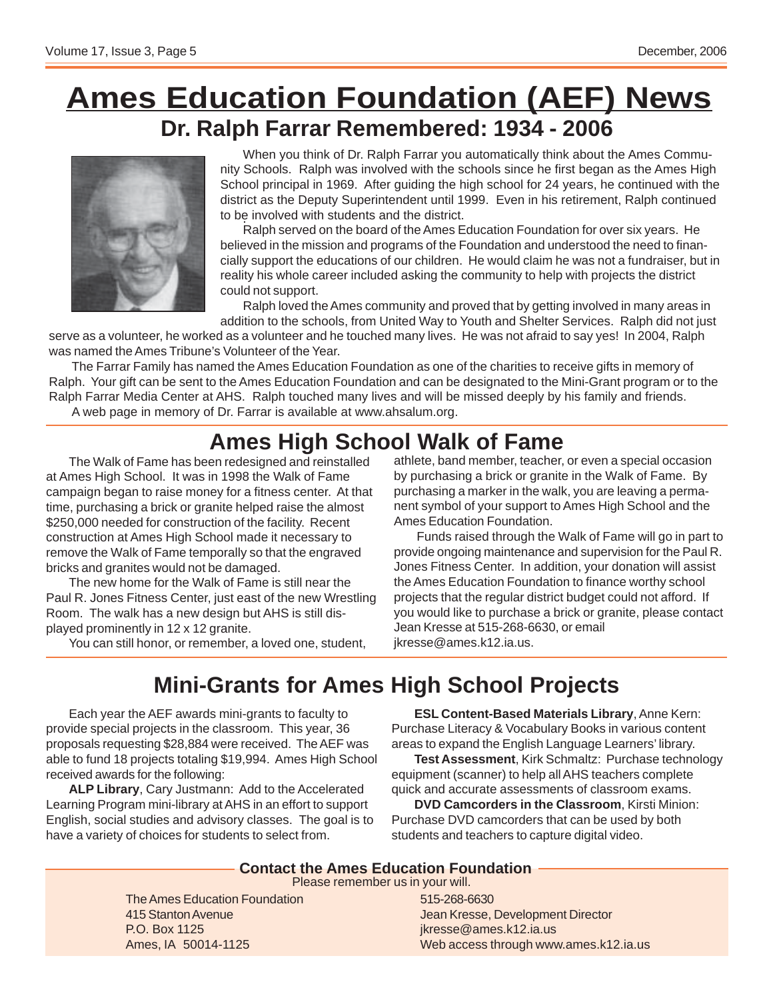# **Ames Education Foundation (AEF) News Dr. Ralph Farrar Remembered: 1934 - 2006**



When you think of Dr. Ralph Farrar you automatically think about the Ames Community Schools. Ralph was involved with the schools since he first began as the Ames High School principal in 1969. After guiding the high school for 24 years, he continued with the district as the Deputy Superintendent until 1999. Even in his retirement, Ralph continued to be involved with students and the district.

Ralph served on the board of the Ames Education Foundation for over six years. He believed in the mission and programs of the Foundation and understood the need to financially support the educations of our children. He would claim he was not a fundraiser, but in reality his whole career included asking the community to help with projects the district could not support.

Ralph loved the Ames community and proved that by getting involved in many areas in addition to the schools, from United Way to Youth and Shelter Services. Ralph did not just

serve as a volunteer, he worked as a volunteer and he touched many lives. He was not afraid to say yes! In 2004, Ralph was named the Ames Tribune's Volunteer of the Year.

The Farrar Family has named the Ames Education Foundation as one of the charities to receive gifts in memory of Ralph. Your gift can be sent to the Ames Education Foundation and can be designated to the Mini-Grant program or to the Ralph Farrar Media Center at AHS. Ralph touched many lives and will be missed deeply by his family and friends. A web page in memory of Dr. Farrar is available at www.ahsalum.org.

### **Ames High School Walk of Fame**

The Walk of Fame has been redesigned and reinstalled at Ames High School. It was in 1998 the Walk of Fame campaign began to raise money for a fitness center. At that time, purchasing a brick or granite helped raise the almost \$250,000 needed for construction of the facility. Recent construction at Ames High School made it necessary to remove the Walk of Fame temporally so that the engraved bricks and granites would not be damaged.

The new home for the Walk of Fame is still near the Paul R. Jones Fitness Center, just east of the new Wrestling Room. The walk has a new design but AHS is still displayed prominently in 12 x 12 granite.

You can still honor, or remember, a loved one, student,

athlete, band member, teacher, or even a special occasion by purchasing a brick or granite in the Walk of Fame. By purchasing a marker in the walk, you are leaving a permanent symbol of your support to Ames High School and the Ames Education Foundation.

Funds raised through the Walk of Fame will go in part to provide ongoing maintenance and supervision for the Paul R. Jones Fitness Center. In addition, your donation will assist the Ames Education Foundation to finance worthy school projects that the regular district budget could not afford. If you would like to purchase a brick or granite, please contact Jean Kresse at 515-268-6630, or email jkresse@ames.k12.ia.us.

## **Mini-Grants for Ames High School Projects**

Each year the AEF awards mini-grants to faculty to provide special projects in the classroom. This year, 36 proposals requesting \$28,884 were received. The AEF was able to fund 18 projects totaling \$19,994. Ames High School received awards for the following:

**ALP Library**, Cary Justmann: Add to the Accelerated Learning Program mini-library at AHS in an effort to support English, social studies and advisory classes. The goal is to have a variety of choices for students to select from.

**ESL Content-Based Materials Library**, Anne Kern: Purchase Literacy & Vocabulary Books in various content areas to expand the English Language Learners' library.

**Test Assessment**, Kirk Schmaltz: Purchase technology equipment (scanner) to help all AHS teachers complete quick and accurate assessments of classroom exams.

**DVD Camcorders in the Classroom**, Kirsti Minion: Purchase DVD camcorders that can be used by both students and teachers to capture digital video.

### **Contact the Ames Education Foundation**

Please remember us in your will.

The Ames Education Foundation 415 Stanton Avenue P.O. Box 1125 Ames, IA 50014-1125

#### 515-268-6630 Jean Kresse, Development Director jkresse@ames.k12.ia.us Web access through www.ames.k12.ia.us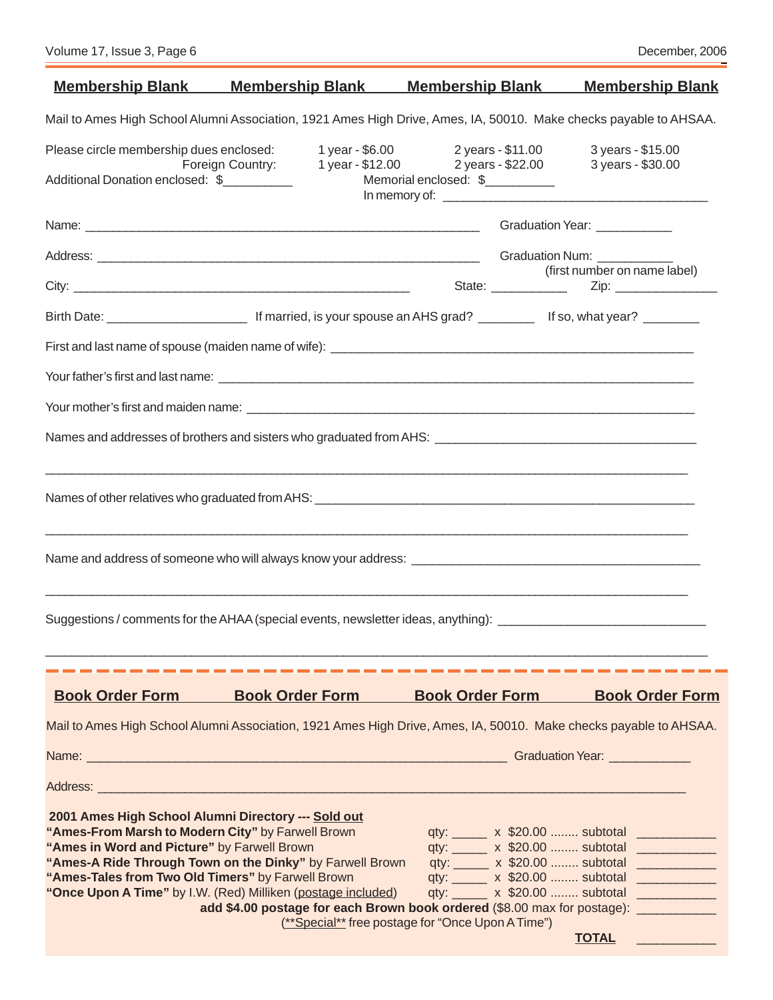| <u>Membership Blank Membership Blank Membership Blank</u>                                                                                                                                                                                                                                                                                |                                                                                                                                                                                                                                                |                                                                               |  | <b>Membership Blank</b>                                                                                                                                                                                                                                                                                                                   |  |  |
|------------------------------------------------------------------------------------------------------------------------------------------------------------------------------------------------------------------------------------------------------------------------------------------------------------------------------------------|------------------------------------------------------------------------------------------------------------------------------------------------------------------------------------------------------------------------------------------------|-------------------------------------------------------------------------------|--|-------------------------------------------------------------------------------------------------------------------------------------------------------------------------------------------------------------------------------------------------------------------------------------------------------------------------------------------|--|--|
| Mail to Ames High School Alumni Association, 1921 Ames High Drive, Ames, IA, 50010. Make checks payable to AHSAA.                                                                                                                                                                                                                        |                                                                                                                                                                                                                                                |                                                                               |  |                                                                                                                                                                                                                                                                                                                                           |  |  |
| Please circle membership dues enclosed:<br>Additional Donation enclosed: \$                                                                                                                                                                                                                                                              | Foreign Country: 1 year - \$12.00 2 years - \$22.00                                                                                                                                                                                            | 1 year - \$6.00 2 years - \$11.00<br>Memorial enclosed: \$                    |  | 3 years - \$15.00<br>3 years - \$30.00                                                                                                                                                                                                                                                                                                    |  |  |
|                                                                                                                                                                                                                                                                                                                                          |                                                                                                                                                                                                                                                |                                                                               |  | Graduation Year: ____________                                                                                                                                                                                                                                                                                                             |  |  |
|                                                                                                                                                                                                                                                                                                                                          |                                                                                                                                                                                                                                                |                                                                               |  |                                                                                                                                                                                                                                                                                                                                           |  |  |
|                                                                                                                                                                                                                                                                                                                                          |                                                                                                                                                                                                                                                |                                                                               |  | (first number on name label)                                                                                                                                                                                                                                                                                                              |  |  |
|                                                                                                                                                                                                                                                                                                                                          |                                                                                                                                                                                                                                                |                                                                               |  |                                                                                                                                                                                                                                                                                                                                           |  |  |
|                                                                                                                                                                                                                                                                                                                                          |                                                                                                                                                                                                                                                |                                                                               |  |                                                                                                                                                                                                                                                                                                                                           |  |  |
|                                                                                                                                                                                                                                                                                                                                          |                                                                                                                                                                                                                                                |                                                                               |  |                                                                                                                                                                                                                                                                                                                                           |  |  |
|                                                                                                                                                                                                                                                                                                                                          |                                                                                                                                                                                                                                                |                                                                               |  |                                                                                                                                                                                                                                                                                                                                           |  |  |
|                                                                                                                                                                                                                                                                                                                                          |                                                                                                                                                                                                                                                |                                                                               |  |                                                                                                                                                                                                                                                                                                                                           |  |  |
|                                                                                                                                                                                                                                                                                                                                          | <u> 1989 - Johann Stoff, deutscher Stoffen und der Stoffen und der Stoffen und der Stoffen und der Stoffen und de</u><br><u> 1989 - Johann John Stone, mension berkenaar berkenaar beskriuw om de former for de former for de former for d</u> |                                                                               |  |                                                                                                                                                                                                                                                                                                                                           |  |  |
| Name and address of someone who will always know your address: Name and and address of someone who will always know your address:                                                                                                                                                                                                        |                                                                                                                                                                                                                                                |                                                                               |  |                                                                                                                                                                                                                                                                                                                                           |  |  |
| Suggestions / comments for the AHAA (special events, newsletter ideas, anything): ____________________________                                                                                                                                                                                                                           | <u> 1989 - Andrea Santa Alemania, amerikan bahasa dan berasal dalam berasal dalam berasal dalam berasal dalam be</u>                                                                                                                           |                                                                               |  |                                                                                                                                                                                                                                                                                                                                           |  |  |
|                                                                                                                                                                                                                                                                                                                                          |                                                                                                                                                                                                                                                |                                                                               |  |                                                                                                                                                                                                                                                                                                                                           |  |  |
| <b>Book Order Form</b>                                                                                                                                                                                                                                                                                                                   | <b>Book Order Form</b>                                                                                                                                                                                                                         | <b>Book Order Form</b>                                                        |  | <b>Book Order Form</b>                                                                                                                                                                                                                                                                                                                    |  |  |
| Mail to Ames High School Alumni Association, 1921 Ames High Drive, Ames, IA, 50010. Make checks payable to AHSAA.                                                                                                                                                                                                                        |                                                                                                                                                                                                                                                |                                                                               |  |                                                                                                                                                                                                                                                                                                                                           |  |  |
|                                                                                                                                                                                                                                                                                                                                          |                                                                                                                                                                                                                                                |                                                                               |  |                                                                                                                                                                                                                                                                                                                                           |  |  |
|                                                                                                                                                                                                                                                                                                                                          |                                                                                                                                                                                                                                                |                                                                               |  |                                                                                                                                                                                                                                                                                                                                           |  |  |
| 2001 Ames High School Alumni Directory --- Sold out<br>"Ames-From Marsh to Modern City" by Farwell Brown<br>"Ames in Word and Picture" by Farwell Brown<br>"Ames-A Ride Through Town on the Dinky" by Farwell Brown<br>"Ames-Tales from Two Old Timers" by Farwell Brown<br>"Once Upon A Time" by I.W. (Red) Milliken (postage included) | add \$4.00 postage for each Brown book ordered (\$8.00 max for postage): __________                                                                                                                                                            | qty: x \$20.00  subtotal<br>(**Special** free postage for "Once Upon A Time") |  | qty: ______ x \$20.00  subtotal _____________<br>qty: ______ x \$20.00  subtotal _____________<br>qty: ______ x \$20.00  subtotal _____________<br>qty: ______ x \$20.00  subtotal _____________<br><b>TOTAL</b><br><u>a di sebagai sebagai sebagai sebagai sebagai sebagai sebagai sebagai sebagai sebagai sebagai sebagai sebagai s</u> |  |  |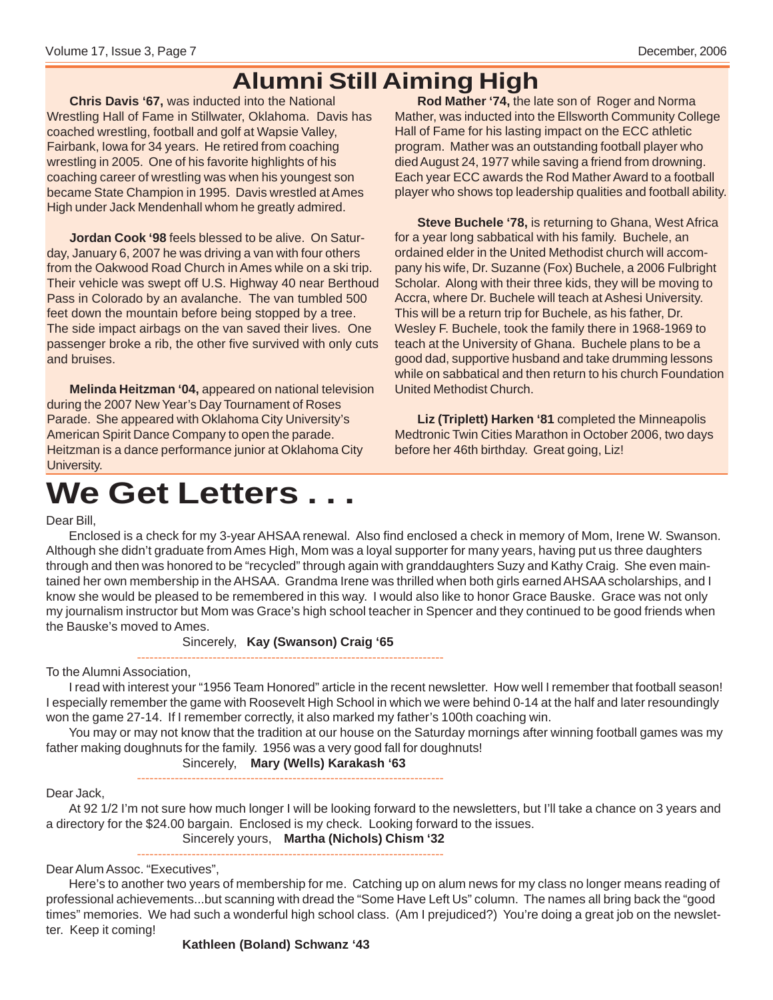### **Alumni Still Aiming High**

**Chris Davis '67,** was inducted into the National Wrestling Hall of Fame in Stillwater, Oklahoma. Davis has coached wrestling, football and golf at Wapsie Valley, Fairbank, Iowa for 34 years. He retired from coaching wrestling in 2005. One of his favorite highlights of his coaching career of wrestling was when his youngest son became State Champion in 1995. Davis wrestled at Ames High under Jack Mendenhall whom he greatly admired.

**Jordan Cook '98** feels blessed to be alive. On Saturday, January 6, 2007 he was driving a van with four others from the Oakwood Road Church in Ames while on a ski trip. Their vehicle was swept off U.S. Highway 40 near Berthoud Pass in Colorado by an avalanche. The van tumbled 500 feet down the mountain before being stopped by a tree. The side impact airbags on the van saved their lives. One passenger broke a rib, the other five survived with only cuts and bruises.

**Melinda Heitzman '04,** appeared on national television during the 2007 New Year's Day Tournament of Roses Parade. She appeared with Oklahoma City University's American Spirit Dance Company to open the parade. Heitzman is a dance performance junior at Oklahoma City University.

**Rod Mather '74,** the late son of Roger and Norma Mather, was inducted into the Ellsworth Community College Hall of Fame for his lasting impact on the ECC athletic program. Mather was an outstanding football player who died August 24, 1977 while saving a friend from drowning. Each year ECC awards the Rod Mather Award to a football player who shows top leadership qualities and football ability.

**Steve Buchele '78,** is returning to Ghana, West Africa for a year long sabbatical with his family. Buchele, an ordained elder in the United Methodist church will accompany his wife, Dr. Suzanne (Fox) Buchele, a 2006 Fulbright Scholar. Along with their three kids, they will be moving to Accra, where Dr. Buchele will teach at Ashesi University. This will be a return trip for Buchele, as his father, Dr. Wesley F. Buchele, took the family there in 1968-1969 to teach at the University of Ghana. Buchele plans to be a good dad, supportive husband and take drumming lessons while on sabbatical and then return to his church Foundation United Methodist Church.

**Liz (Triplett) Harken '81** completed the Minneapolis Medtronic Twin Cities Marathon in October 2006, two days before her 46th birthday. Great going, Liz!

# **We Get Letters . . .**

#### Dear Bill,

Enclosed is a check for my 3-year AHSAA renewal. Also find enclosed a check in memory of Mom, Irene W. Swanson. Although she didn't graduate from Ames High, Mom was a loyal supporter for many years, having put us three daughters through and then was honored to be "recycled" through again with granddaughters Suzy and Kathy Craig. She even maintained her own membership in the AHSAA. Grandma Irene was thrilled when both girls earned AHSAA scholarships, and I know she would be pleased to be remembered in this way. I would also like to honor Grace Bauske. Grace was not only my journalism instructor but Mom was Grace's high school teacher in Spencer and they continued to be good friends when the Bauske's moved to Ames.

#### Sincerely, **Kay (Swanson) Craig '65**

------------------------------------------------------------------------- To the Alumni Association,

I read with interest your "1956 Team Honored" article in the recent newsletter. How well I remember that football season! I especially remember the game with Roosevelt High School in which we were behind 0-14 at the half and later resoundingly won the game 27-14. If I remember correctly, it also marked my father's 100th coaching win.

You may or may not know that the tradition at our house on the Saturday mornings after winning football games was my father making doughnuts for the family. 1956 was a very good fall for doughnuts!

> Sincerely, **Mary (Wells) Karakash '63** -------------------------------------------------------------------------

Dear Jack,

At 92 1/2 I'm not sure how much longer I will be looking forward to the newsletters, but I'll take a chance on 3 years and a directory for the \$24.00 bargain. Enclosed is my check. Looking forward to the issues.

Sincerely yours, **Martha (Nichols) Chism '32**

------------------------------------------------------------------------- Dear Alum Assoc. "Executives",

Here's to another two years of membership for me. Catching up on alum news for my class no longer means reading of professional achievements...but scanning with dread the "Some Have Left Us" column. The names all bring back the "good times" memories. We had such a wonderful high school class. (Am I prejudiced?) You're doing a great job on the newsletter. Keep it coming!